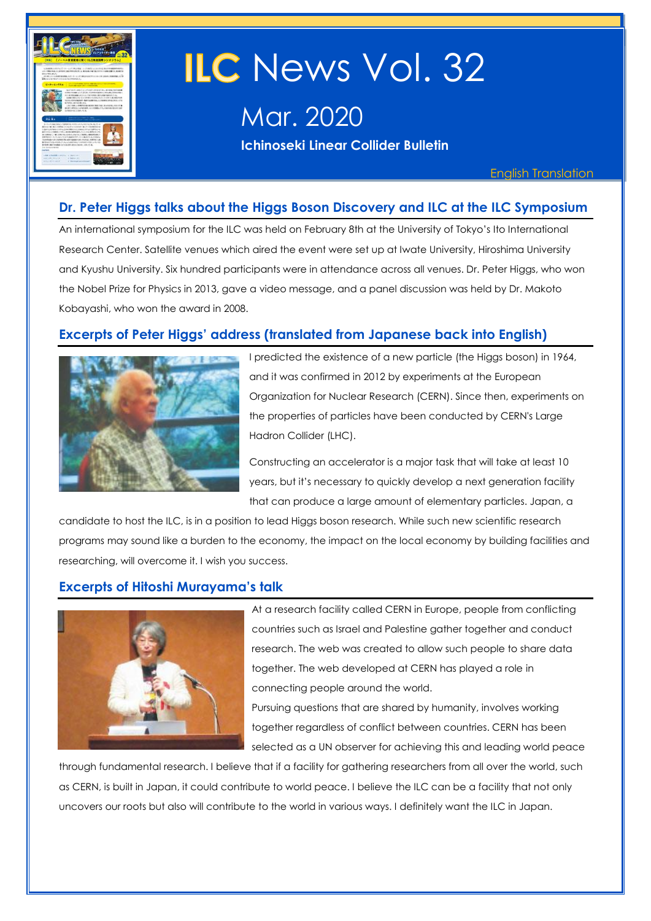

# ILC News Vol. 32

Mar. 2020

**Ichinoseki Linear Collider Bulletin** 

English Translation

## **Dr. Peter Higgs talks about the Higgs Boson Discovery and ILC at the ILC Symposium**

An international symposium for the ILC was held on February 8th at the University of Tokyo's Ito International Research Center. Satellite venues which aired the event were set up at Iwate University, Hiroshima University and Kyushu University. Six hundred participants were in attendance across all venues. Dr. Peter Higgs, who won the Nobel Prize for Physics in 2013, gave a video message, and a panel discussion was held by Dr. Makoto Kobayashi, who won the award in 2008.

## **Excerpts of Peter Higgs' address (translated from Japanese back into English)**



I predicted the existence of a new particle (the Higgs boson) in 1964, and it was confirmed in 2012 by experiments at the European Organization for Nuclear Research (CERN). Since then, experiments on the properties of particles have been conducted by CERN's Large Hadron Collider (LHC).

Constructing an accelerator is a major task that will take at least 10 years, but it's necessary to quickly develop a next generation facility that can produce a large amount of elementary particles. Japan, a

candidate to host the ILC, is in a position to lead Higgs boson research. While such new scientific research programs may sound like a burden to the economy, the impact on the local economy by building facilities and researching, will overcome it. I wish you success.

## **Excerpts of Hitoshi Murayama's talk**



At a research facility called CERN in Europe, people from conflicting countries such as Israel and Palestine gather together and conduct research. The web was created to allow such people to share data together. The web developed at CERN has played a role in connecting people around the world.

Pursuing questions that are shared by humanity, involves working together regardless of conflict between countries. CERN has been selected as a UN observer for achieving this and leading world peace

through fundamental research. I believe that if a facility for gathering researchers from all over the world, such as CERN, is built in Japan, it could contribute to world peace. I believe the ILC can be a facility that not only uncovers our roots but also will contribute to the world in various ways. I definitely want the ILC in Japan.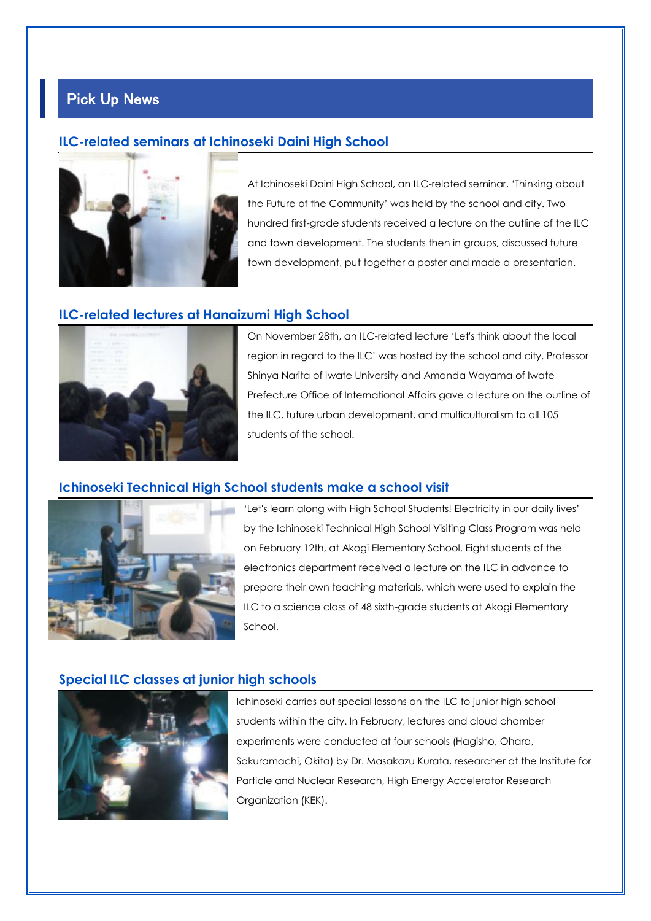## Pick Up News

## **ILC-related seminars at Ichinoseki Daini High School**



At Ichinoseki Daini High School, an ILC-related seminar, 'Thinking about the Future of the Community' was held by the school and city. Two hundred first-grade students received a lecture on the outline of the ILC and town development. The students then in groups, discussed future town development, put together a poster and made a presentation.

## **ILC-related lectures at Hanaizumi High School**



On November 28th, an ILC-related lecture 'Let's think about the local region in regard to the ILC' was hosted by the school and city. Professor Shinya Narita of Iwate University and Amanda Wayama of Iwate Prefecture Office of International Affairs gave a lecture on the outline of the ILC, future urban development, and multiculturalism to all 105 students of the school.

## **Ichinoseki Technical High School students make a school visit**



'Let's learn along with High School Students! Electricity in our daily lives' by the Ichinoseki Technical High School Visiting Class Program was held on February 12th, at Akogi Elementary School. Eight students of the electronics department received a lecture on the ILC in advance to prepare their own teaching materials, which were used to explain the ILC to a science class of 48 sixth-grade students at Akogi Elementary School.

## **Special ILC classes at junior high schools**



Ichinoseki carries out special lessons on the ILC to junior high school students within the city. In February, lectures and cloud chamber experiments were conducted at four schools (Hagisho, Ohara, Sakuramachi, Okita) by Dr. Masakazu Kurata, researcher at the Institute for Particle and Nuclear Research, High Energy Accelerator Research Organization (KEK).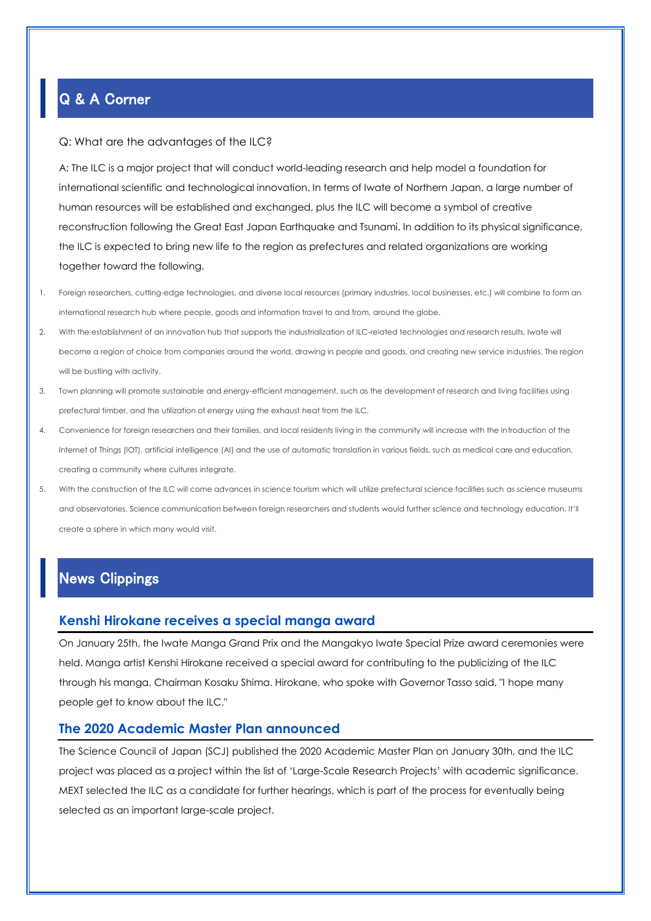# Q & A Corner

#### Q: What are the advantages of the ILC?

A: The ILC is a major project that will conduct world-leading research and help model a foundation for international scientific and technological innovation. In terms of Iwate of Northern Japan, a large number of human resources will be established and exchanged, plus the ILC will become a symbol of creative reconstruction following the Great East Japan Earthquake and Tsunami. In addition to its physical significance, the ILC is expected to bring new life to the region as prefectures and related organizations are working together toward the following.

- 1. Foreign researchers, cutting-edge technologies, and diverse local resources (primary industries, local businesses, etc.) will combine to form an international research hub where people, goods and information travel to and from, around the globe.
- 2. With the establishment of an innovation hub that supports the industrialization of ILC-related technologies and research results, Iwate will become a region of choice from companies around the world, drawing in people and goods, and creating new service industries. The region will be bustling with activity.
- 3. Town planning will promote sustainable and energy-efficient management, such as the development of research and living facilities using prefectural timber, and the utilization of energy using the exhaust heat from the ILC.
- 4. Convenience for foreign researchers and their families, and local residents living in the community will increase with the introduction of the Internet of Things (IOT), artificial intelligence (AI) and the use of automatic translation in various fields, such as medical care and education, creating a community where cultures integrate.
- 5. With the construction of the ILC will come advances in science tourism which will utilize prefectural science facilities such as science museums and observatories. Science communication between foreign researchers and students would further science and technology education. It'll create a sphere in which many would visit.

## News Clippings

## **Kenshi Hirokane receives a special manga award**

On January 25th, the Iwate Manga Grand Prix and the Mangakyo Iwate Special Prize award ceremonies were held. Manga artist Kenshi Hirokane received a special award for contributing to the publicizing of the ILC through his manga, Chairman Kosaku Shima. Hirokane, who spoke with Governor Tasso said, "I hope many people get to know about the ILC."

## **The 2020 Academic Master Plan announced**

The Science Council of Japan (SCJ) published the 2020 Academic Master Plan on January 30th, and the ILC project was placed as a project within the list of 'Large-Scale Research Projects' with academic significance. MEXT selected the ILC as a candidate for further hearings, which is part of the process for eventually being selected as an important large-scale project.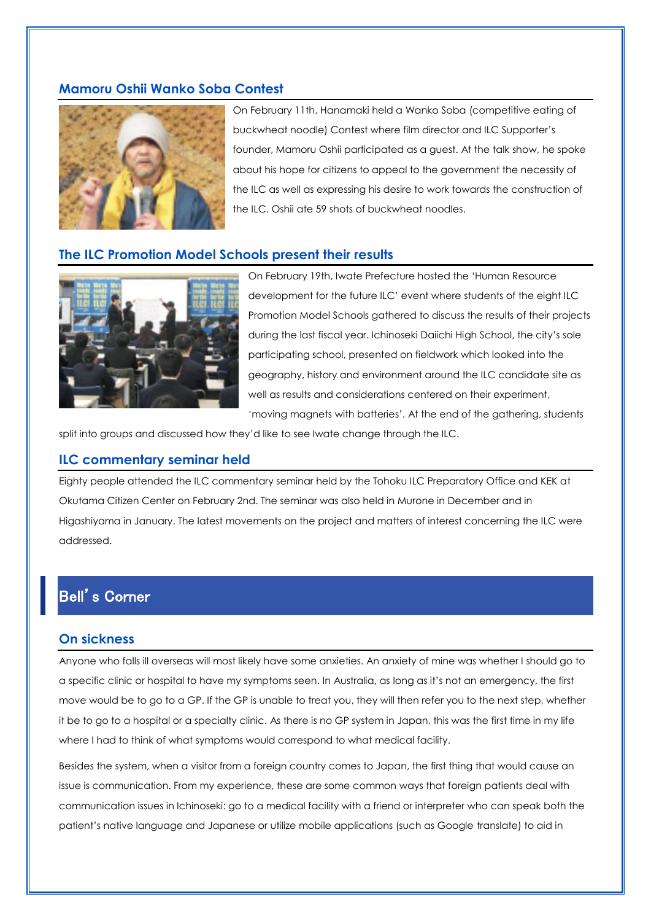## **Mamoru Oshii Wanko Soba Contest**



On February 11th, Hanamaki held a Wanko Soba (competitive eating of buckwheat noodle) Contest where film director and ILC Supporter's founder, Mamoru Oshii participated as a guest. At the talk show, he spoke about his hope for citizens to appeal to the government the necessity of the ILC as well as expressing his desire to work towards the construction of the ILC. Oshii ate 59 shots of buckwheat noodles.

#### **The ILC Promotion Model Schools present their results**



On February 19th, Iwate Prefecture hosted the 'Human Resource development for the future ILC' event where students of the eight ILC Promotion Model Schools gathered to discuss the results of their projects during the last fiscal year. Ichinoseki Daiichi High School, the city's sole participating school, presented on fieldwork which looked into the geography, history and environment around the ILC candidate site as well as results and considerations centered on their experiment, 'moving magnets with batteries'. At the end of the gathering, students

split into groups and discussed how they'd like to see Iwate change through the ILC.

#### **ILC commentary seminar held**

Eighty people attended the ILC commentary seminar held by the Tohoku ILC Preparatory Office and KEK at Okutama Citizen Center on February 2nd. The seminar was also held in Murone in December and in Higashiyama in January. The latest movements on the project and matters of interest concerning the ILC were addressed.

## Bell's Corner

## **On sickness**

Anyone who falls ill overseas will most likely have some anxieties. An anxiety of mine was whether I should go to a specific clinic or hospital to have my symptoms seen. In Australia, as long as it's not an emergency, the first move would be to go to a GP. If the GP is unable to treat you, they will then refer you to the next step, whether it be to go to a hospital or a specialty clinic. As there is no GP system in Japan, this was the first time in my life where I had to think of what symptoms would correspond to what medical facility.

Besides the system, when a visitor from a foreign country comes to Japan, the first thing that would cause an issue is communication. From my experience, these are some common ways that foreign patients deal with communication issues in Ichinoseki: go to a medical facility with a friend or interpreter who can speak both the patient's native language and Japanese or utilize mobile applications (such as Google translate) to aid in